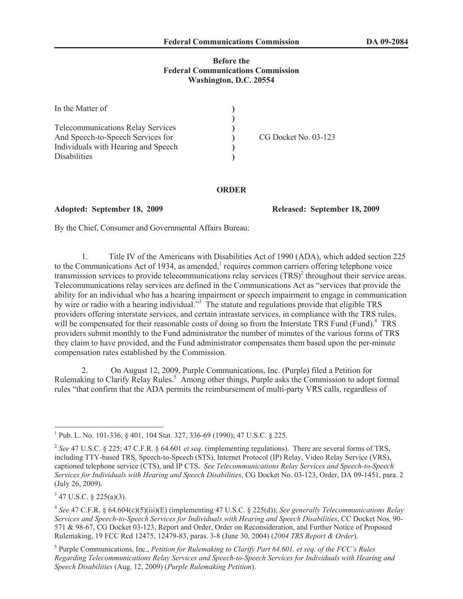## **Before the Federal Communications Commission Washington, D.C. 20554**

| In the Matter of                                                                                                                            |                      |
|---------------------------------------------------------------------------------------------------------------------------------------------|----------------------|
| <b>Telecommunications Relay Services</b><br>And Speech-to-Speech Services for<br>Individuals with Hearing and Speech<br><b>Disabilities</b> | CG Docket No. 03-123 |

## **ORDER**

**Adopted: September 18, 2009 Released: September 18, 2009**

By the Chief, Consumer and Governmental Affairs Bureau:

1. Title IV of the Americans with Disabilities Act of 1990 (ADA), which added section 225 to the Communications Act of 1934, as amended, $<sup>1</sup>$  requires common carriers offering telephone voice</sup> transmission services to provide telecommunications relay services  $(TRS)^2$  throughout their service areas. Telecommunications relay services are defined in the Communications Act as "services that provide the ability for an individual who has a hearing impairment or speech impairment to engage in communication by wire or radio with a hearing individual."<sup>3</sup> The statute and regulations provide that eligible TRS providers offering interstate services, and certain intrastate services, in compliance with the TRS rules, will be compensated for their reasonable costs of doing so from the Interstate TRS Fund (Fund).<sup>4</sup> TRS providers submit monthly to the Fund administrator the number of minutes of the various forms of TRS they claim to have provided, and the Fund administrator compensates them based upon the per-minute compensation rates established by the Commission.

2. On August 12, 2009, Purple Communications, Inc. (Purple) filed a Petition for Rulemaking to Clarify Relay Rules.<sup>5</sup> Among other things, Purple asks the Commission to adopt formal rules "that confirm that the ADA permits the reimbursement of multi-party VRS calls, regardless of

 $3$  47 U.S.C. § 225(a)(3).

5 Purple Communications, Inc., *Petition for Rulemaking to Clarify Part 64.601, et seq. of the FCC's Rules Regarding Telecommunications Relay Services and Speech-to-Speech Services for Individuals with Hearing and Speech Disabilities* (Aug. 12, 2009) (*Purple Rulemaking Petition*).

<sup>&</sup>lt;sup>1</sup> Pub. L. No. 101-336, § 401, 104 Stat. 327, 336-69 (1990); 47 U.S.C. § 225.

<sup>2</sup> *See* 47 U.S.C. § 225; 47 C.F.R. § 64.601 *et seq*. (implementing regulations). There are several forms of TRS, including TTY-based TRS, Speech-to-Speech (STS), Internet Protocol (IP) Relay, Video Relay Service (VRS), captioned telephone service (CTS), and IP CTS. *See Telecommunications Relay Services and Speech-to-Speech Services for Individuals with Hearing and Speech Disabilities*, CG Docket No. 03-123, Order, DA 09-1451, para. 2 (July 26, 2009).

<sup>4</sup> *See* 47 C.F.R. § 64.604(c)(5)(iii)(E) (implementing 47 U.S.C. § 225(d)); *See generally Telecommunications Relay Services and Speech-to-Speech Services for Individuals with Hearing and Speech Disabilities*, CC Docket Nos. 90- 571 & 98-67, CG Docket 03-123, Report and Order, Order on Reconsideration, and Further Notice of Proposed Rulemaking, 19 FCC Rcd 12475, 12479-83, paras. 3-8 (June 30, 2004) (*2004 TRS Report & Order*).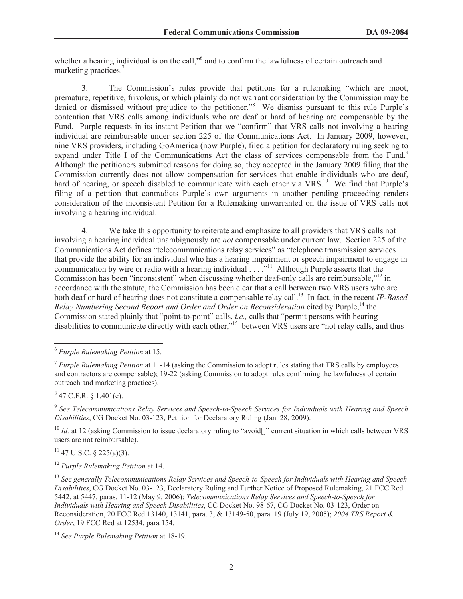whether a hearing individual is on the call,"<sup>6</sup> and to confirm the lawfulness of certain outreach and marketing practices.<sup>7</sup>

3. The Commission's rules provide that petitions for a rulemaking "which are moot, premature, repetitive, frivolous, or which plainly do not warrant consideration by the Commission may be denied or dismissed without prejudice to the petitioner.<sup>38</sup> We dismiss pursuant to this rule Purple's contention that VRS calls among individuals who are deaf or hard of hearing are compensable by the Fund. Purple requests in its instant Petition that we "confirm" that VRS calls not involving a hearing individual are reimbursable under section 225 of the Communications Act. In January 2009, however, nine VRS providers, including GoAmerica (now Purple), filed a petition for declaratory ruling seeking to expand under Title I of the Communications Act the class of services compensable from the Fund.<sup>9</sup> Although the petitioners submitted reasons for doing so, they accepted in the January 2009 filing that the Commission currently does not allow compensation for services that enable individuals who are deaf, hard of hearing, or speech disabled to communicate with each other via VRS.<sup>10</sup> We find that Purple's filing of a petition that contradicts Purple's own arguments in another pending proceeding renders consideration of the inconsistent Petition for a Rulemaking unwarranted on the issue of VRS calls not involving a hearing individual.

4. We take this opportunity to reiterate and emphasize to all providers that VRS calls not involving a hearing individual unambiguously are *not* compensable under current law. Section 225 of the Communications Act defines "telecommunications relay services" as "telephone transmission services that provide the ability for an individual who has a hearing impairment or speech impairment to engage in communication by wire or radio with a hearing individual . . . .<sup>"11</sup> Although Purple asserts that the Commission has been "inconsistent" when discussing whether deaf-only calls are reimbursable,"<sup>12</sup> in accordance with the statute, the Commission has been clear that a call between two VRS users who are both deaf or hard of hearing does not constitute a compensable relay call.<sup>13</sup> In fact, in the recent *IP-Based Relay Numbering Second Report and Order and Order on Reconsideration* cited by Purple,<sup>14</sup> the Commission stated plainly that "point-to-point" calls, *i.e.,* calls that "permit persons with hearing disabilities to communicate directly with each other.<sup>"15</sup> between VRS users are "not relay calls, and thus

 $847$  C.F.R. § 1.401(e).

<sup>10</sup> *Id.* at 12 (asking Commission to issue declaratory ruling to "avoid[]" current situation in which calls between VRS users are not reimbursable).

 $11$  47 U.S.C. § 225(a)(3).

<sup>6</sup> *Purple Rulemaking Petition* at 15.

<sup>7</sup> *Purple Rulemaking Petition* at 11-14 (asking the Commission to adopt rules stating that TRS calls by employees and contractors are compensable); 19-22 (asking Commission to adopt rules confirming the lawfulness of certain outreach and marketing practices).

<sup>9</sup> *See Telecommunications Relay Services and Speech-to-Speech Services for Individuals with Hearing and Speech Disabilities*, CG Docket No. 03-123, Petition for Declaratory Ruling (Jan. 28, 2009).

<sup>12</sup> *Purple Rulemaking Petition* at 14.

<sup>13</sup> *See generally Telecommunications Relay Services and Speech-to-Speech for Individuals with Hearing and Speech Disabilities*, CG Docket No. 03-123, Declaratory Ruling and Further Notice of Proposed Rulemaking, 21 FCC Rcd 5442, at 5447, paras. 11-12 (May 9, 2006); *Telecommunications Relay Services and Speech-to-Speech for Individuals with Hearing and Speech Disabilities*, CC Docket No. 98-67, CG Docket No. 03-123, Order on Reconsideration, 20 FCC Rcd 13140, 13141, para. 3, & 13149-50, para. 19 (July 19, 2005); *2004 TRS Report & Order*, 19 FCC Rcd at 12534, para 154.

<sup>14</sup> *See Purple Rulemaking Petition* at 18-19.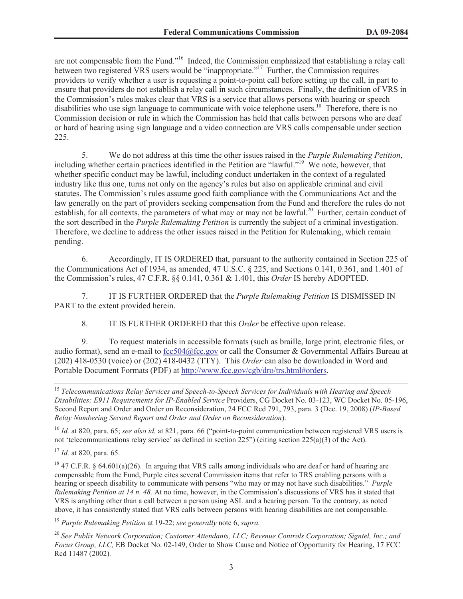are not compensable from the Fund."<sup>16</sup> Indeed, the Commission emphasized that establishing a relay call between two registered VRS users would be "inappropriate."<sup>17</sup> Further, the Commission requires providers to verify whether a user is requesting a point-to-point call before setting up the call, in part to ensure that providers do not establish a relay call in such circumstances. Finally, the definition of VRS in the Commission's rules makes clear that VRS is a service that allows persons with hearing or speech disabilities who use sign language to communicate with voice telephone users.<sup>18</sup> Therefore, there is no Commission decision or rule in which the Commission has held that calls between persons who are deaf or hard of hearing using sign language and a video connection are VRS calls compensable under section 225.

5. We do not address at this time the other issues raised in the *Purple Rulemaking Petition*, including whether certain practices identified in the Petition are "lawful."<sup>19</sup> We note, however, that whether specific conduct may be lawful, including conduct undertaken in the context of a regulated industry like this one, turns not only on the agency's rules but also on applicable criminal and civil statutes. The Commission's rules assume good faith compliance with the Communications Act and the law generally on the part of providers seeking compensation from the Fund and therefore the rules do not establish, for all contexts, the parameters of what may or may not be lawful.<sup>20</sup> Further, certain conduct of the sort described in the *Purple Rulemaking Petition* is currently the subject of a criminal investigation. Therefore, we decline to address the other issues raised in the Petition for Rulemaking, which remain pending.

6. Accordingly, IT IS ORDERED that, pursuant to the authority contained in Section 225 of the Communications Act of 1934, as amended, 47 U.S.C. § 225, and Sections 0.141, 0.361, and 1.401 of the Commission's rules, 47 C.F.R. §§ 0.141, 0.361 & 1.401, this *Order* IS hereby ADOPTED.

7. IT IS FURTHER ORDERED that the *Purple Rulemaking Petition* IS DISMISSED IN PART to the extent provided herein.

8. IT IS FURTHER ORDERED that this *Order* be effective upon release.

9. To request materials in accessible formats (such as braille, large print, electronic files, or audio format), send an e-mail to fcc504@fcc.gov or call the Consumer & Governmental Affairs Bureau at (202) 418-0530 (voice) or (202) 418-0432 (TTY). This *Order* can also be downloaded in Word and Portable Document Formats (PDF) at http://www.fcc.gov/cgb/dro/trs.html#orders.

<sup>16</sup> *Id.* at 820, para. 65; see also id. at 821, para. 66 ("point-to-point communication between registered VRS users is not 'telecommunications relay service' as defined in section  $225$ ") (citing section  $225(a)(3)$  of the Act).

<sup>15</sup> *Telecommunications Relay Services and Speech-to-Speech Services for Individuals with Hearing and Speech Disabilities; E911 Requirements for IP-Enabled Service* Providers, CG Docket No. 03-123, WC Docket No. 05-196, Second Report and Order and Order on Reconsideration, 24 FCC Rcd 791, 793, para. 3 (Dec. 19, 2008) (*IP-Based Relay Numbering Second Report and Order and Order on Reconsideration*).

<sup>17</sup> *Id.* at 820, para. 65.

<sup>&</sup>lt;sup>18</sup> 47 C.F.R. § 64.601(a)(26). In arguing that VRS calls among individuals who are deaf or hard of hearing are compensable from the Fund, Purple cites several Commission items that refer to TRS enabling persons with a hearing or speech disability to communicate with persons "who may or may not have such disabilities." *Purple Rulemaking Petition at 14 n. 48.* At no time, however, in the Commission's discussions of VRS has it stated that VRS is anything other than a call between a person using ASL and a hearing person. To the contrary, as noted above, it has consistently stated that VRS calls between persons with hearing disabilities are not compensable.

<sup>19</sup> *Purple Rulemaking Petition* at 19-22; *see generally* note 6, *supra.*

<sup>20</sup> *See Publix Network Corporation; Customer Attendants, LLC; Revenue Controls Corporation; Signtel, Inc.; and Focus Group, LLC,* EB Docket No. 02-149, Order to Show Cause and Notice of Opportunity for Hearing, 17 FCC Rcd 11487 (2002)*.*